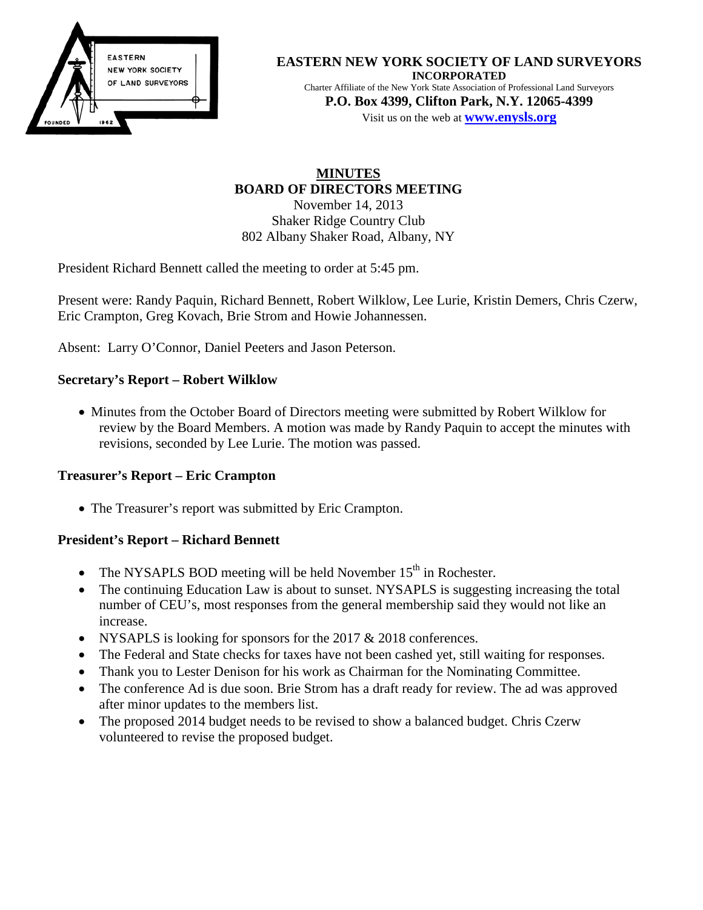

#### **EASTERN NEW YORK SOCIETY OF LAND SURVEYORS INCORPORATED** Charter Affiliate of the New York State Association of Professional Land Surveyors

**P.O. Box 4399, Clifton Park, N.Y. 12065-4399** Visit us on the web at **[www.e](http://www.enysls.org/)nysls.org**

# **MINUTES BOARD OF DIRECTORS MEETING** November 14, 2013 Shaker Ridge Country Club 802 Albany Shaker Road, Albany, NY

President Richard Bennett called the meeting to order at 5:45 pm.

Present were: Randy Paquin, Richard Bennett, Robert Wilklow, Lee Lurie, Kristin Demers, Chris Czerw, Eric Crampton, Greg Kovach, Brie Strom and Howie Johannessen.

Absent: Larry O'Connor, Daniel Peeters and Jason Peterson.

## **Secretary's Report – Robert Wilklow**

• Minutes from the October Board of Directors meeting were submitted by Robert Wilklow for review by the Board Members. A motion was made by Randy Paquin to accept the minutes with revisions, seconded by Lee Lurie. The motion was passed.

## **Treasurer's Report – Eric Crampton**

• The Treasurer's report was submitted by Eric Crampton.

## **President's Report – Richard Bennett**

- The NYSAPLS BOD meeting will be held November  $15<sup>th</sup>$  in Rochester.
- The continuing Education Law is about to sunset. NYSAPLS is suggesting increasing the total number of CEU's, most responses from the general membership said they would not like an increase.
- NYSAPLS is looking for sponsors for the 2017 & 2018 conferences.
- The Federal and State checks for taxes have not been cashed yet, still waiting for responses.
- Thank you to Lester Denison for his work as Chairman for the Nominating Committee.
- The conference Ad is due soon. Brie Strom has a draft ready for review. The ad was approved after minor updates to the members list.
- The proposed 2014 budget needs to be revised to show a balanced budget. Chris Czerw volunteered to revise the proposed budget.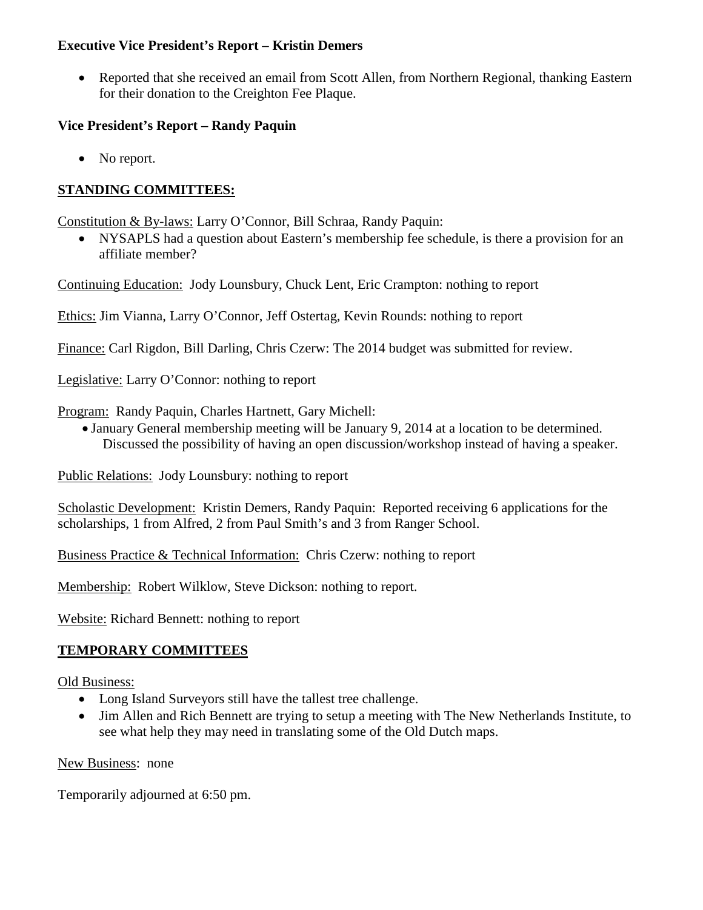### **Executive Vice President's Report – Kristin Demers**

• Reported that she received an email from Scott Allen, from Northern Regional, thanking Eastern for their donation to the Creighton Fee Plaque.

## **Vice President's Report – Randy Paquin**

• No report.

# **STANDING COMMITTEES:**

Constitution & By-laws: Larry O'Connor, Bill Schraa, Randy Paquin:

• NYSAPLS had a question about Eastern's membership fee schedule, is there a provision for an affiliate member?

Continuing Education: Jody Lounsbury, Chuck Lent, Eric Crampton: nothing to report

Ethics: Jim Vianna, Larry O'Connor, Jeff Ostertag, Kevin Rounds: nothing to report

Finance: Carl Rigdon, Bill Darling, Chris Czerw: The 2014 budget was submitted for review.

Legislative: Larry O'Connor: nothing to report

- Program: Randy Paquin, Charles Hartnett, Gary Michell:
	- January General membership meeting will be January 9, 2014 at a location to be determined. Discussed the possibility of having an open discussion/workshop instead of having a speaker.

Public Relations: Jody Lounsbury: nothing to report

Scholastic Development: Kristin Demers, Randy Paquin: Reported receiving 6 applications for the scholarships, 1 from Alfred, 2 from Paul Smith's and 3 from Ranger School.

Business Practice & Technical Information: Chris Czerw: nothing to report

Membership: Robert Wilklow, Steve Dickson: nothing to report.

Website: Richard Bennett: nothing to report

# **TEMPORARY COMMITTEES**

Old Business:

- Long Island Surveyors still have the tallest tree challenge.
- Jim Allen and Rich Bennett are trying to setup a meeting with The New Netherlands Institute, to see what help they may need in translating some of the Old Dutch maps.

 **Vice-President: Randy Paquin Richard Bennett 2014 Daniel Peeters 2015 Brie Strom 2016 New Business:** none  **Treasurer: Eric Crampton Past President: C. Howard Johannessen** 

**Temporarily adjourned at 6:50 pm.**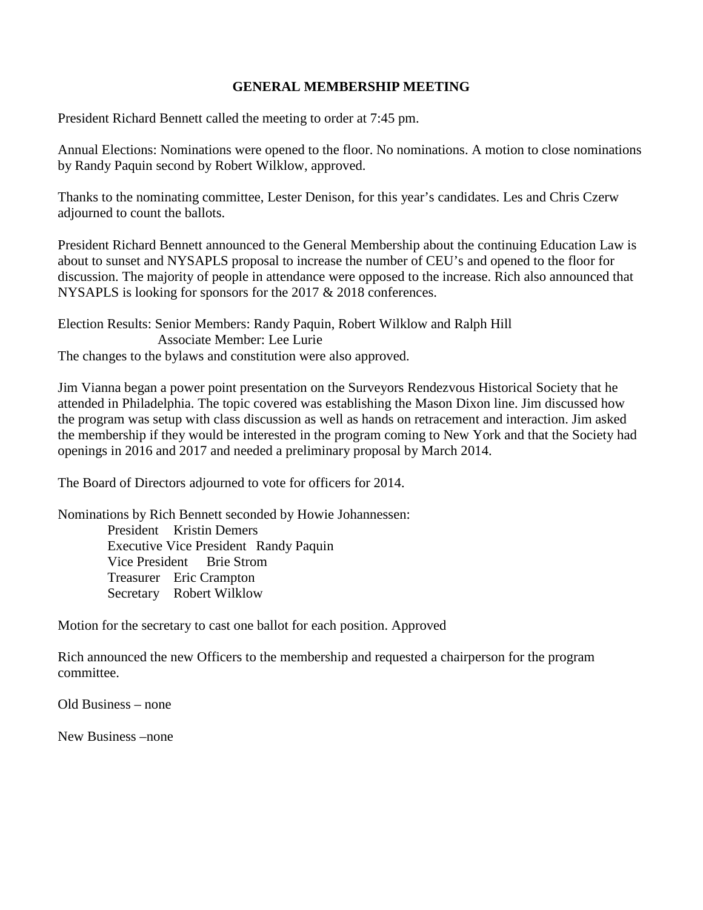### **GENERAL MEMBERSHIP MEETING**

President Richard Bennett called the meeting to order at 7:45 pm.

Annual Elections: Nominations were opened to the floor. No nominations. A motion to close nominations by Randy Paquin second by Robert Wilklow, approved.

Thanks to the nominating committee, Lester Denison, for this year's candidates. Les and Chris Czerw adjourned to count the ballots.

President Richard Bennett announced to the General Membership about the continuing Education Law is about to sunset and NYSAPLS proposal to increase the number of CEU's and opened to the floor for discussion. The majority of people in attendance were opposed to the increase. Rich also announced that NYSAPLS is looking for sponsors for the 2017 & 2018 conferences.

Election Results: Senior Members: Randy Paquin, Robert Wilklow and Ralph Hill Associate Member: Lee Lurie The changes to the bylaws and constitution were also approved.

Jim Vianna began a power point presentation on the Surveyors Rendezvous Historical Society that he attended in Philadelphia. The topic covered was establishing the Mason Dixon line. Jim discussed how the program was setup with class discussion as well as hands on retracement and interaction. Jim asked the membership if they would be interested in the program coming to New York and that the Society had openings in 2016 and 2017 and needed a preliminary proposal by March 2014.

The Board of Directors adjourned to vote for officers for 2014.

Nominations by Rich Bennett seconded by Howie Johannessen: President Kristin Demers Executive Vice President Randy Paquin Vice President Brie Strom Treasurer Eric Crampton Secretary Robert Wilklow

Motion for the secretary to cast one ballot for each position. Approved

Rich announced the new Officers to the membership and requested a chairperson for the program committee.

Old Business – none

**Press –none 2014 Lawrence O'Connorm <b>2014 Exampte 2014 Exampte 2016**